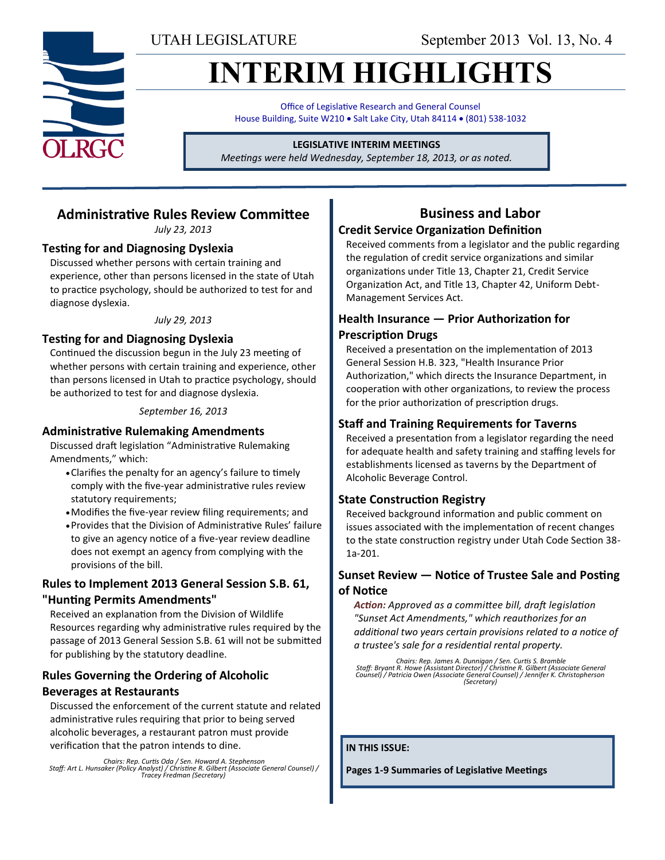UTAH LEGISLATURE September 2013 Vol. 13, No. 4

# **INTERIM HIGHLIGHTS**

Office of Legislative Research and General Counsel House Building, Suite W210 . Salt Lake City, Utah 84114 . (801) 538-1032

#### **LEGISLATIVE INTERIM MEETINGS**

*Meetings were held Wednesday, September 18, 2013, or as noted.*

## **Administrative Rules Review Committee**

*July 23, 2013*

#### **Testing for and Diagnosing Dyslexia**

Discussed whether persons with certain training and experience, other than persons licensed in the state of Utah to practice psychology, should be authorized to test for and diagnose dyslexia.

#### *July 29, 2013*

#### **Testing for and Diagnosing Dyslexia**

Continued the discussion begun in the July 23 meeting of whether persons with certain training and experience, other than persons licensed in Utah to practice psychology, should be authorized to test for and diagnose dyslexia.

*September 16, 2013*

#### **Administrative Rulemaking Amendments**

Discussed draft legislation "Administrative Rulemaking Amendments," which:

- Clarifies the penalty for an agency's failure to timely comply with the five-year administrative rules review statutory requirements;
- Modifies the five-year review filing requirements; and
- Provides that the Division of Administrative Rules' failure to give an agency notice of a five-year review deadline does not exempt an agency from complying with the provisions of the bill.

#### **Rules to Implement 2013 General Session S.B. 61, "Hunting Permits Amendments"**

Received an explanation from the Division of Wildlife Resources regarding why administrative rules required by the passage of 2013 General Session S.B. 61 will not be submitted for publishing by the statutory deadline.

### **Rules Governing the Ordering of Alcoholic Beverages at Restaurants**

Discussed the enforcement of the current statute and related administrative rules requiring that prior to being served alcoholic beverages, a restaurant patron must provide verification that the patron intends to dine.

*Chairs: Rep. Curtis Oda / Sen. Howard A. Stephenson Staff: Art L. Hunsaker (Policy Analyst) / Christine R. Gilbert (Associate General Counsel) / Tracey Fredman (Secretary)*

## **Business and Labor**

### **Credit Service Organization Definition**

Received comments from a legislator and the public regarding the regulation of credit service organizations and similar organizations under Title 13, Chapter 21, Credit Service Organization Act, and Title 13, Chapter 42, Uniform Debt-Management Services Act.

#### **Health Insurance — Prior Authorization for Prescription Drugs**

Received a presentation on the implementation of 2013 General Session H.B. 323, "Health Insurance Prior Authorization," which directs the Insurance Department, in cooperation with other organizations, to review the process for the prior authorization of prescription drugs.

#### **Staff and Training Requirements for Taverns**

Received a presentation from a legislator regarding the need for adequate health and safety training and staffing levels for establishments licensed as taverns by the Department of Alcoholic Beverage Control.

#### **State Construction Registry**

Received background information and public comment on issues associated with the implementation of recent changes to the state construction registry under Utah Code Section 38- 1a-201.

#### **Sunset Review — Notice of Trustee Sale and Posting of Notice**

*Action: Approved as a committee bill, draft legislation "Sunset Act Amendments," which reauthorizes for an additional two years certain provisions related to a notice of a trustee's sale for a residential rental property.*

*Chairs: Rep. James A. Dunnigan / Sen. Curtis S. Bramble Staff: Bryant R. Howe (Assistant Director) / Christine R. Gilbert (Associate General Counsel) / Patricia Owen (Associate General Counsel) / Jennifer K. Christopherson (Secretary)*

**IN THIS ISSUE:**

**Pages 1-9 Summaries of Legislative Meetings**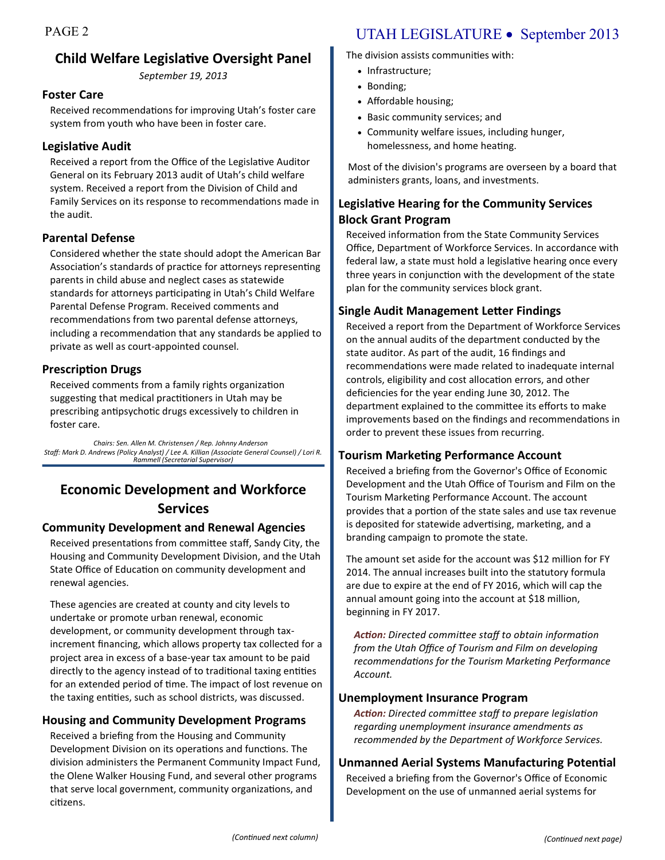## **Child Welfare Legislative Oversight Panel**

*September 19, 2013*

#### **Foster Care**

Received recommendations for improving Utah's foster care system from youth who have been in foster care.

#### **Legislative Audit**

Received a report from the Office of the Legislative Auditor General on its February 2013 audit of Utah's child welfare system. Received a report from the Division of Child and Family Services on its response to recommendations made in the audit.

#### **Parental Defense**

Considered whether the state should adopt the American Bar Association's standards of practice for attorneys representing parents in child abuse and neglect cases as statewide standards for attorneys participating in Utah's Child Welfare Parental Defense Program. Received comments and recommendations from two parental defense attorneys, including a recommendation that any standards be applied to private as well as court-appointed counsel.

### **Prescription Drugs**

Received comments from a family rights organization suggesting that medical practitioners in Utah may be prescribing antipsychotic drugs excessively to children in foster care.

*Chairs: Sen. Allen M. Christensen / Rep. Johnny Anderson Staff: Mark D. Andrews (Policy Analyst) / Lee A. Killian (Associate General Counsel) / Lori R. Rammell (Secretarial Supervisor)* 

## **Economic Development and Workforce Services**

#### **Community Development and Renewal Agencies**

Received presentations from committee staff, Sandy City, the Housing and Community Development Division, and the Utah State Office of Education on community development and renewal agencies.

These agencies are created at county and city levels to undertake or promote urban renewal, economic development, or community development through taxincrement financing, which allows property tax collected for a project area in excess of a base-year tax amount to be paid directly to the agency instead of to traditional taxing entities for an extended period of time. The impact of lost revenue on the taxing entities, such as school districts, was discussed.

#### **Housing and Community Development Programs**

Received a briefing from the Housing and Community Development Division on its operations and functions. The division administers the Permanent Community Impact Fund, the Olene Walker Housing Fund, and several other programs that serve local government, community organizations, and citizens.

## PAGE 2 UTAH LEGISLATURE • September 2013

The division assists communities with:

- Infrastructure;
- Bonding:
- Affordable housing;
- Basic community services; and
- Community welfare issues, including hunger, homelessness, and home heating.

Most of the division's programs are overseen by a board that administers grants, loans, and investments.

## **Legislative Hearing for the Community Services Block Grant Program**

Received information from the State Community Services Office, Department of Workforce Services. In accordance with federal law, a state must hold a legislative hearing once every three years in conjunction with the development of the state plan for the community services block grant.

### **Single Audit Management Letter Findings**

Received a report from the Department of Workforce Services on the annual audits of the department conducted by the state auditor. As part of the audit, 16 findings and recommendations were made related to inadequate internal controls, eligibility and cost allocation errors, and other deficiencies for the year ending June 30, 2012. The department explained to the committee its efforts to make improvements based on the findings and recommendations in order to prevent these issues from recurring.

### **Tourism Marketing Performance Account**

Received a briefing from the Governor's Office of Economic Development and the Utah Office of Tourism and Film on the Tourism Marketing Performance Account. The account provides that a portion of the state sales and use tax revenue is deposited for statewide advertising, marketing, and a branding campaign to promote the state.

The amount set aside for the account was \$12 million for FY 2014. The annual increases built into the statutory formula are due to expire at the end of FY 2016, which will cap the annual amount going into the account at \$18 million, beginning in FY 2017.

*Action: Directed committee staff to obtain information from the Utah Office of Tourism and Film on developing recommendations for the Tourism Marketing Performance Account.*

#### **Unemployment Insurance Program**

*Action: Directed committee staff to prepare legislation regarding unemployment insurance amendments as recommended by the Department of Workforce Services.*

#### **Unmanned Aerial Systems Manufacturing Potential**

Received a briefing from the Governor's Office of Economic Development on the use of unmanned aerial systems for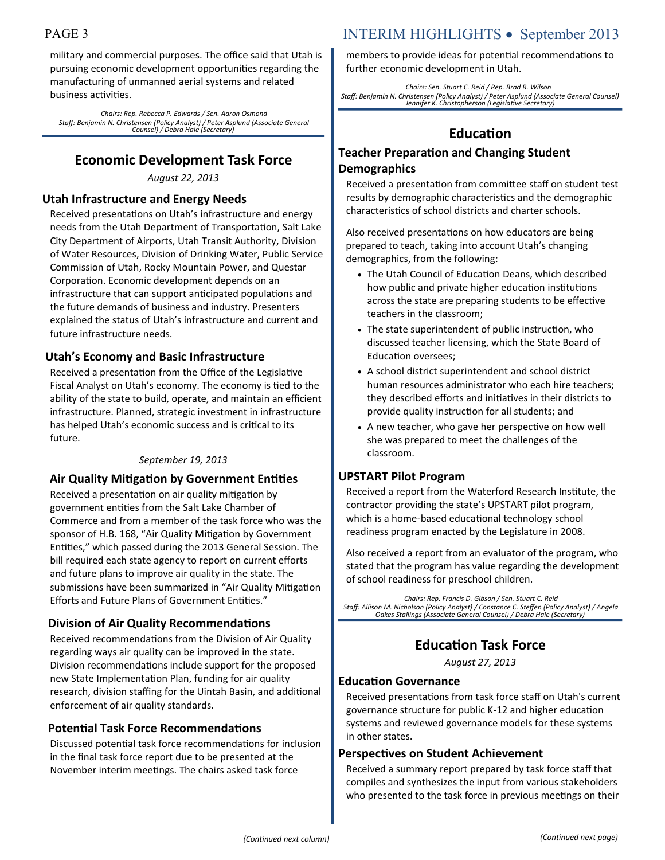military and commercial purposes. The office said that Utah is pursuing economic development opportunities regarding the manufacturing of unmanned aerial systems and related business activities.

*Chairs: Rep. Rebecca P. Edwards / Sen. Aaron Osmond Staff: Benjamin N. Christensen (Policy Analyst) / Peter Asplund (Associate General Counsel) / Debra Hale (Secretary)*

## **Economic Development Task Force**

*August 22, 2013*

#### **Utah Infrastructure and Energy Needs**

Received presentations on Utah's infrastructure and energy needs from the Utah Department of Transportation, Salt Lake City Department of Airports, Utah Transit Authority, Division of Water Resources, Division of Drinking Water, Public Service Commission of Utah, Rocky Mountain Power, and Questar Corporation. Economic development depends on an infrastructure that can support anticipated populations and the future demands of business and industry. Presenters explained the status of Utah's infrastructure and current and future infrastructure needs.

#### **Utah's Economy and Basic Infrastructure**

Received a presentation from the Office of the Legislative Fiscal Analyst on Utah's economy. The economy is tied to the ability of the state to build, operate, and maintain an efficient infrastructure. Planned, strategic investment in infrastructure has helped Utah's economic success and is critical to its future.

#### *September 19, 2013*

#### **Air Quality Mitigation by Government Entities**

Received a presentation on air quality mitigation by government entities from the Salt Lake Chamber of Commerce and from a member of the task force who was the sponsor of H.B. 168, "Air Quality Mitigation by Government Entities," which passed during the 2013 General Session. The bill required each state agency to report on current efforts and future plans to improve air quality in the state. The submissions have been summarized in "Air Quality Mitigation Efforts and Future Plans of Government Entities."

#### **Division of Air Quality Recommendations**

Received recommendations from the Division of Air Quality regarding ways air quality can be improved in the state. Division recommendations include support for the proposed new State Implementation Plan, funding for air quality research, division staffing for the Uintah Basin, and additional enforcement of air quality standards.

#### **Potential Task Force Recommendations**

Discussed potential task force recommendations for inclusion in the final task force report due to be presented at the November interim meetings. The chairs asked task force

## PAGE 3 INTERIM HIGHLIGHTS • September 2013

members to provide ideas for potential recommendations to further economic development in Utah.

*Chairs: Sen. Stuart C. Reid / Rep. Brad R. Wilson Staff: Benjamin N. Christensen (Policy Analyst) / Peter Asplund (Associate General Counsel) Jennifer K. Christopherson (Legislative Secretary)*

## **Education**

### **Teacher Preparation and Changing Student Demographics**

Received a presentation from committee staff on student test results by demographic characteristics and the demographic characteristics of school districts and charter schools.

Also received presentations on how educators are being prepared to teach, taking into account Utah's changing demographics, from the following:

- The Utah Council of Education Deans, which described how public and private higher education institutions across the state are preparing students to be effective teachers in the classroom;
- The state superintendent of public instruction, who discussed teacher licensing, which the State Board of Education oversees;
- A school district superintendent and school district human resources administrator who each hire teachers; they described efforts and initiatives in their districts to provide quality instruction for all students; and
- A new teacher, who gave her perspective on how well she was prepared to meet the challenges of the classroom.

#### **UPSTART Pilot Program**

Received a report from the Waterford Research Institute, the contractor providing the state's UPSTART pilot program, which is a home-based educational technology school readiness program enacted by the Legislature in 2008.

Also received a report from an evaluator of the program, who stated that the program has value regarding the development of school readiness for preschool children.

*Chairs: Rep. Francis D. Gibson / Sen. Stuart C. Reid Staff: Allison M. Nicholson (Policy Analyst) / Constance C. Steffen (Policy Analyst) / Angela Oakes Stallings (Associate General Counsel) / Debra Hale (Secretary)*

## **Education Task Force**

*August 27, 2013*

#### **Education Governance**

Received presentations from task force staff on Utah's current governance structure for public K-12 and higher education systems and reviewed governance models for these systems in other states.

#### **Perspectives on Student Achievement**

Received a summary report prepared by task force staff that compiles and synthesizes the input from various stakeholders who presented to the task force in previous meetings on their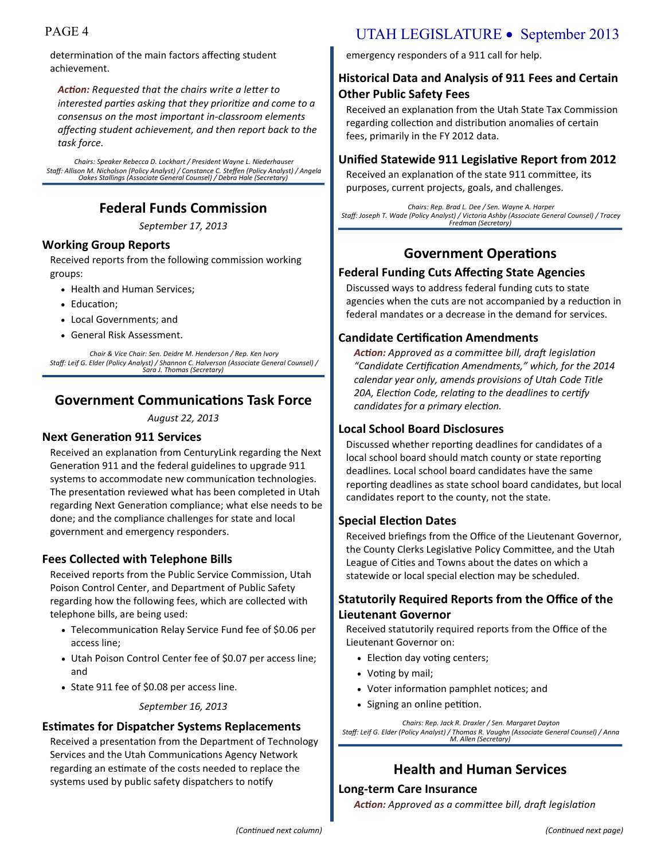determination of the main factors affecting student achievement.

*Action: Requested that the chairs write a letter to interested parties asking that they prioritize and come to a consensus on the most important in-classroom elements affecting student achievement, and then report back to the task force.*

*Chairs: Speaker Rebecca D. Lockhart / President Wayne L. Niederhauser Staff: Allison M. Nicholson (Policy Analyst) / Constance C. Steffen (Policy Analyst) / Angela Oakes Stallings (Associate General Counsel) / Debra Hale (Secretary)*

## **Federal Funds Commission**

*September 17, 2013*

#### **Working Group Reports**

Received reports from the following commission working groups:

- Health and Human Services;
- Education:
- Local Governments; and
- General Risk Assessment.

*Chair & Vice Chair: Sen. Deidre M. Henderson / Rep. Ken Ivory Staff: Leif G. Elder (Policy Analyst) / Shannon C. Halverson (Associate General Counsel) / Sara J. Thomas (Secretary)*

## **Government Communications Task Force**

*August 22, 2013*

#### **Next Generation 911 Services**

Received an explanation from CenturyLink regarding the Next Generation 911 and the federal guidelines to upgrade 911 systems to accommodate new communication technologies. The presentation reviewed what has been completed in Utah regarding Next Generation compliance; what else needs to be done; and the compliance challenges for state and local government and emergency responders.

#### **Fees Collected with Telephone Bills**

Received reports from the Public Service Commission, Utah Poison Control Center, and Department of Public Safety regarding how the following fees, which are collected with telephone bills, are being used:

- Telecommunication Relay Service Fund fee of \$0.06 per access line;
- Utah Poison Control Center fee of \$0.07 per access line; and
- State 911 fee of \$0.08 per access line.

*September 16, 2013*

#### **Estimates for Dispatcher Systems Replacements**

Received a presentation from the Department of Technology Services and the Utah Communications Agency Network regarding an estimate of the costs needed to replace the systems used by public safety dispatchers to notify

## PAGE 4 UTAH LEGISLATURE • September 2013

emergency responders of a 911 call for help.

### **Historical Data and Analysis of 911 Fees and Certain Other Public Safety Fees**

Received an explanation from the Utah State Tax Commission regarding collection and distribution anomalies of certain fees, primarily in the FY 2012 data.

#### **Unified Statewide 911 Legislative Report from 2012**

Received an explanation of the state 911 committee, its purposes, current projects, goals, and challenges.

*Chairs: Rep. Brad L. Dee / Sen. Wayne A. Harper Staff: Joseph T. Wade (Policy Analyst) / Victoria Ashby (Associate General Counsel) / Tracey Fredman (Secretary)*

## **Government Operations**

#### **Federal Funding Cuts Affecting State Agencies**

Discussed ways to address federal funding cuts to state agencies when the cuts are not accompanied by a reduction in federal mandates or a decrease in the demand for services.

#### **Candidate Certification Amendments**

*Action: Approved as a committee bill, draft legislation "Candidate Certification Amendments," which, for the 2014 calendar year only, amends provisions of Utah Code Title 20A, Election Code, relating to the deadlines to certify candidates for a primary election.*

#### **Local School Board Disclosures**

Discussed whether reporting deadlines for candidates of a local school board should match county or state reporting deadlines. Local school board candidates have the same reporting deadlines as state school board candidates, but local candidates report to the county, not the state.

#### **Special Election Dates**

Received briefings from the Office of the Lieutenant Governor, the County Clerks Legislative Policy Committee, and the Utah League of Cities and Towns about the dates on which a statewide or local special election may be scheduled.

#### **Statutorily Required Reports from the Office of the Lieutenant Governor**

Received statutorily required reports from the Office of the Lieutenant Governor on:

- Election day voting centers;
- Voting by mail;
- Voter information pamphlet notices; and
- Signing an online petition.

*Chairs: Rep. Jack R. Draxler / Sen. Margaret Dayton Staff: Leif G. Elder (Policy Analyst) / Thomas R. Vaughn (Associate General Counsel) / Anna M. Allen (Secretary)*

## **Health and Human Services**

#### **Long-term Care Insurance**

*Action: Approved as a committee bill, draft legislation*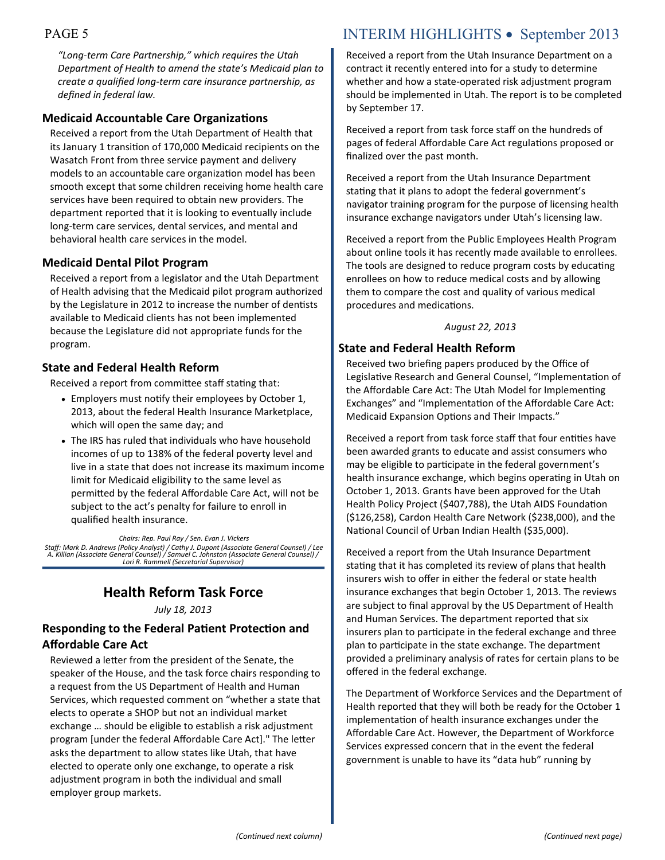*"Long-term Care Partnership," which requires the Utah Department of Health to amend the state's Medicaid plan to create a qualified long-term care insurance partnership, as defined in federal law.*

#### **Medicaid Accountable Care Organizations**

Received a report from the Utah Department of Health that its January 1 transition of 170,000 Medicaid recipients on the Wasatch Front from three service payment and delivery models to an accountable care organization model has been smooth except that some children receiving home health care services have been required to obtain new providers. The department reported that it is looking to eventually include long-term care services, dental services, and mental and behavioral health care services in the model.

#### **Medicaid Dental Pilot Program**

Received a report from a legislator and the Utah Department of Health advising that the Medicaid pilot program authorized by the Legislature in 2012 to increase the number of dentists available to Medicaid clients has not been implemented because the Legislature did not appropriate funds for the program.

#### **State and Federal Health Reform**

Received a report from committee staff stating that:

- Employers must notify their employees by October 1, 2013, about the federal Health Insurance Marketplace, which will open the same day; and
- The IRS has ruled that individuals who have household incomes of up to 138% of the federal poverty level and live in a state that does not increase its maximum income limit for Medicaid eligibility to the same level as permitted by the federal Affordable Care Act, will not be subject to the act's penalty for failure to enroll in qualified health insurance.

*Chairs: Rep. Paul Ray / Sen. Evan J. Vickers Staff: Mark D. Andrews (Policy Analyst) / Cathy J. Dupont (Associate General Counsel) / Lee A. Killian (Associate General Counsel) / Samuel C. Johnston (Associate General Counsel) / Lori R. Rammell (Secretarial Supervisor)*

## **Health Reform Task Force**

*July 18, 2013*

#### **Responding to the Federal Patient Protection and Affordable Care Act**

Reviewed a letter from the president of the Senate, the speaker of the House, and the task force chairs responding to a request from the US Department of Health and Human Services, which requested comment on "whether a state that elects to operate a SHOP but not an individual market exchange … should be eligible to establish a risk adjustment program [under the federal Affordable Care Act]." The letter asks the department to allow states like Utah, that have elected to operate only one exchange, to operate a risk adjustment program in both the individual and small employer group markets.

## PAGE 5 INTERIM HIGHLIGHTS • September 2013

Received a report from the Utah Insurance Department on a contract it recently entered into for a study to determine whether and how a state-operated risk adjustment program should be implemented in Utah. The report is to be completed by September 17.

Received a report from task force staff on the hundreds of pages of federal Affordable Care Act regulations proposed or finalized over the past month.

Received a report from the Utah Insurance Department stating that it plans to adopt the federal government's navigator training program for the purpose of licensing health insurance exchange navigators under Utah's licensing law.

Received a report from the Public Employees Health Program about online tools it has recently made available to enrollees. The tools are designed to reduce program costs by educating enrollees on how to reduce medical costs and by allowing them to compare the cost and quality of various medical procedures and medications.

#### *August 22, 2013*

#### **State and Federal Health Reform**

Received two briefing papers produced by the Office of Legislative Research and General Counsel, "Implementation of the Affordable Care Act: The Utah Model for Implementing Exchanges" and "Implementation of the Affordable Care Act: Medicaid Expansion Options and Their Impacts."

Received a report from task force staff that four entities have been awarded grants to educate and assist consumers who may be eligible to participate in the federal government's health insurance exchange, which begins operating in Utah on October 1, 2013. Grants have been approved for the Utah Health Policy Project (\$407,788), the Utah AIDS Foundation (\$126,258), Cardon Health Care Network (\$238,000), and the National Council of Urban Indian Health (\$35,000).

Received a report from the Utah Insurance Department stating that it has completed its review of plans that health insurers wish to offer in either the federal or state health insurance exchanges that begin October 1, 2013. The reviews are subject to final approval by the US Department of Health and Human Services. The department reported that six insurers plan to participate in the federal exchange and three plan to participate in the state exchange. The department provided a preliminary analysis of rates for certain plans to be offered in the federal exchange.

The Department of Workforce Services and the Department of Health reported that they will both be ready for the October 1 implementation of health insurance exchanges under the Affordable Care Act. However, the Department of Workforce Services expressed concern that in the event the federal government is unable to have its "data hub" running by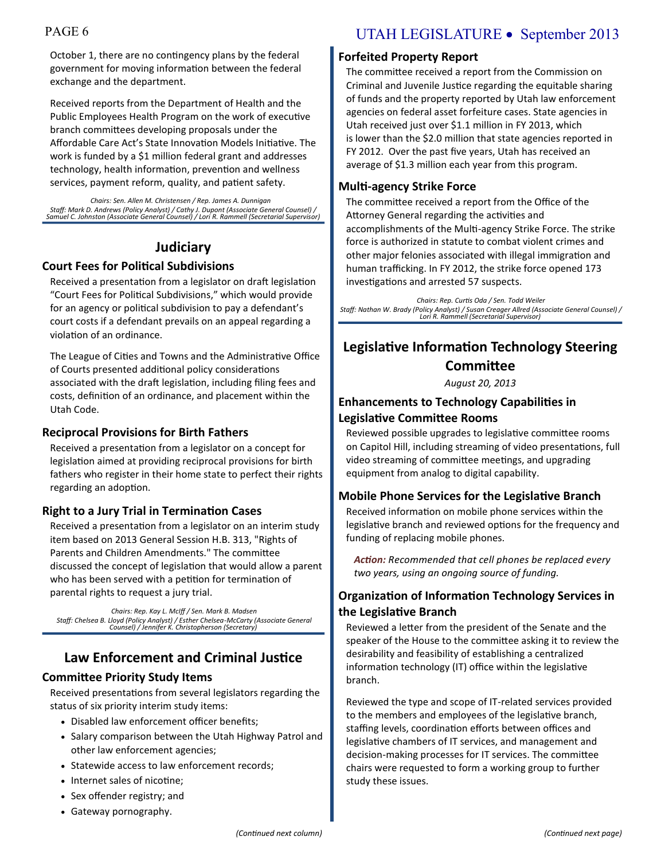October 1, there are no contingency plans by the federal government for moving information between the federal exchange and the department.

Received reports from the Department of Health and the Public Employees Health Program on the work of executive branch committees developing proposals under the Affordable Care Act's State Innovation Models Initiative. The work is funded by a \$1 million federal grant and addresses technology, health information, prevention and wellness services, payment reform, quality, and patient safety.

*Chairs: Sen. Allen M. Christensen / Rep. James A. Dunnigan Staff: Mark D. Andrews (Policy Analyst) / Cathy J. Dupont (Associate General Counsel) / Samuel C. Johnston (Associate General Counsel) / Lori R. Rammell (Secretarial Supervisor)*

## **Judiciary**

#### **Court Fees for Political Subdivisions**

Received a presentation from a legislator on draft legislation "Court Fees for Political Subdivisions," which would provide for an agency or political subdivision to pay a defendant's court costs if a defendant prevails on an appeal regarding a violation of an ordinance.

The League of Cities and Towns and the Administrative Office of Courts presented additional policy considerations associated with the draft legislation, including filing fees and costs, definition of an ordinance, and placement within the Utah Code.

#### **Reciprocal Provisions for Birth Fathers**

Received a presentation from a legislator on a concept for legislation aimed at providing reciprocal provisions for birth fathers who register in their home state to perfect their rights regarding an adoption.

#### **Right to a Jury Trial in Termination Cases**

Received a presentation from a legislator on an interim study item based on 2013 General Session H.B. 313, "Rights of Parents and Children Amendments." The committee discussed the concept of legislation that would allow a parent who has been served with a petition for termination of parental rights to request a jury trial.

*Chairs: Rep. Kay L. McIff / Sen. Mark B. Madsen Staff: Chelsea B. Lloyd (Policy Analyst) / Esther Chelsea-McCarty (Associate General Counsel) / Jennifer K. Christopherson (Secretary)*

## **Law Enforcement and Criminal Justice**

#### **Committee Priority Study Items**

Received presentations from several legislators regarding the status of six priority interim study items:

- Disabled law enforcement officer benefits;
- Salary comparison between the Utah Highway Patrol and other law enforcement agencies;
- Statewide access to law enforcement records;
- Internet sales of nicotine;
- Sex offender registry; and
- Gateway pornography.

## PAGE 6 UTAH LEGISLATURE • September 2013

#### **Forfeited Property Report**

The committee received a report from the Commission on Criminal and Juvenile Justice regarding the equitable sharing of funds and the property reported by Utah law enforcement agencies on federal asset forfeiture cases. State agencies in Utah received just over \$1.1 million in FY 2013, which is lower than the \$2.0 million that state agencies reported in FY 2012. Over the past five years, Utah has received an average of \$1.3 million each year from this program.

#### **Multi-agency Strike Force**

The committee received a report from the Office of the Attorney General regarding the activities and accomplishments of the Multi-agency Strike Force. The strike force is authorized in statute to combat violent crimes and other major felonies associated with illegal immigration and human trafficking. In FY 2012, the strike force opened 173 investigations and arrested 57 suspects.

*Chairs: Rep. Curtis Oda / Sen. Todd Weiler Staff: Nathan W. Brady (Policy Analyst) / Susan Creager Allred (Associate General Counsel) / Lori R. Rammell (Secretarial Supervisor)*

## **Legislative Information Technology Steering Committee**

*August 20, 2013*

#### **Enhancements to Technology Capabilities in Legislative Committee Rooms**

Reviewed possible upgrades to legislative committee rooms on Capitol Hill, including streaming of video presentations, full video streaming of committee meetings, and upgrading equipment from analog to digital capability.

#### **Mobile Phone Services for the Legislative Branch**

Received information on mobile phone services within the legislative branch and reviewed options for the frequency and funding of replacing mobile phones.

*Action: Recommended that cell phones be replaced every two years, using an ongoing source of funding.*

#### **Organization of Information Technology Services in the Legislative Branch**

Reviewed a letter from the president of the Senate and the speaker of the House to the committee asking it to review the desirability and feasibility of establishing a centralized information technology (IT) office within the legislative branch.

Reviewed the type and scope of IT-related services provided to the members and employees of the legislative branch, staffing levels, coordination efforts between offices and legislative chambers of IT services, and management and decision-making processes for IT services. The committee chairs were requested to form a working group to further study these issues.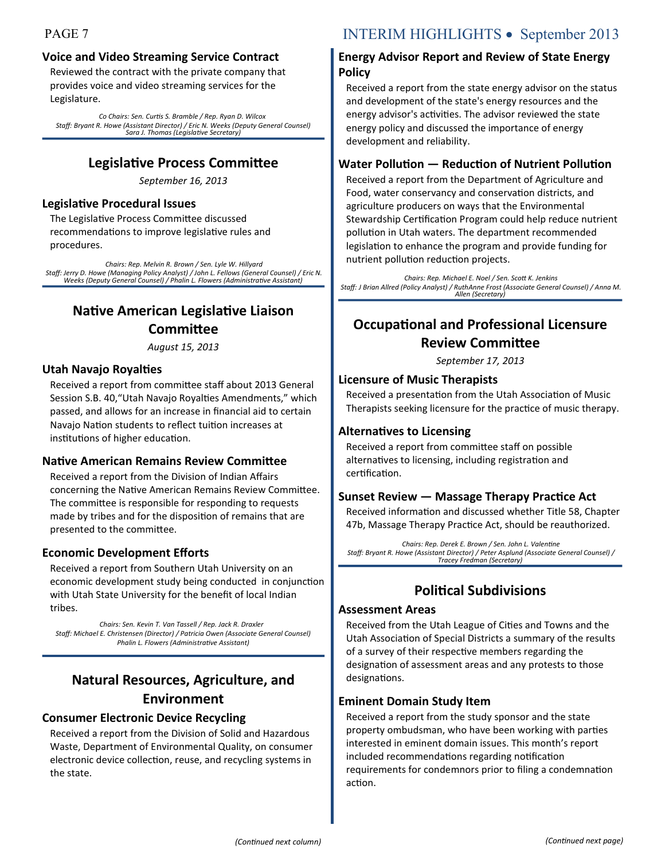### **Voice and Video Streaming Service Contract**

Reviewed the contract with the private company that provides voice and video streaming services for the Legislature.

*Co Chairs: Sen. Curtis S. Bramble / Rep. Ryan D. Wilcox Staff: Bryant R. Howe (Assistant Director) / Eric N. Weeks (Deputy General Counsel) Sara J. Thomas (Legislative Secretary)* 

## **Legislative Process Committee**

*September 16, 2013*

#### **Legislative Procedural Issues**

The Legislative Process Committee discussed recommendations to improve legislative rules and procedures.

*Chairs: Rep. Melvin R. Brown / Sen. Lyle W. Hillyard Staff: Jerry D. Howe (Managing Policy Analyst) / John L. Fellows (General Counsel) / Eric N. Weeks (Deputy General Counsel) / Phalin L. Flowers (Administrative Assistant)*

## **Native American Legislative Liaison Committee**

*August 15, 2013*

#### **Utah Navajo Royalties**

Received a report from committee staff about 2013 General Session S.B. 40,"Utah Navajo Royalties Amendments," which passed, and allows for an increase in financial aid to certain Navajo Nation students to reflect tuition increases at institutions of higher education.

#### **Native American Remains Review Committee**

Received a report from the Division of Indian Affairs concerning the Native American Remains Review Committee. The committee is responsible for responding to requests made by tribes and for the disposition of remains that are presented to the committee.

#### **Economic Development Efforts**

Received a report from Southern Utah University on an economic development study being conducted in conjunction with Utah State University for the benefit of local Indian tribes.

*Chairs: Sen. Kevin T. Van Tassell / Rep. Jack R. Draxler Staff: Michael E. Christensen (Director) / Patricia Owen (Associate General Counsel) Phalin L. Flowers (Administrative Assistant)*

## **Natural Resources, Agriculture, and Environment**

#### **Consumer Electronic Device Recycling**

Received a report from the Division of Solid and Hazardous Waste, Department of Environmental Quality, on consumer electronic device collection, reuse, and recycling systems in the state.

## PAGE 7 INTERIM HIGHLIGHTS • September 2013

#### **Energy Advisor Report and Review of State Energy Policy**

Received a report from the state energy advisor on the status and development of the state's energy resources and the energy advisor's activities. The advisor reviewed the state energy policy and discussed the importance of energy development and reliability.

#### **Water Pollution — Reduction of Nutrient Pollution**

Received a report from the Department of Agriculture and Food, water conservancy and conservation districts, and agriculture producers on ways that the Environmental Stewardship Certification Program could help reduce nutrient pollution in Utah waters. The department recommended legislation to enhance the program and provide funding for nutrient pollution reduction projects.

*Chairs: Rep. Michael E. Noel / Sen. Scott K. Jenkins Staff: J Brian Allred (Policy Analyst) / RuthAnne Frost (Associate General Counsel) / Anna M. Allen (Secretary)*

## **Occupational and Professional Licensure Review Committee**

*September 17, 2013*

#### **Licensure of Music Therapists**

Received a presentation from the Utah Association of Music Therapists seeking licensure for the practice of music therapy.

#### **Alternatives to Licensing**

Received a report from committee staff on possible alternatives to licensing, including registration and certification.

#### **Sunset Review — Massage Therapy Practice Act**

Received information and discussed whether Title 58, Chapter 47b, Massage Therapy Practice Act, should be reauthorized.

*Chairs: Rep. Derek E. Brown / Sen. John L. Valentine Staff: Bryant R. Howe (Assistant Director) / Peter Asplund (Associate General Counsel) / Tracey Fredman (Secretary)*

## **Political Subdivisions**

#### **Assessment Areas**

Received from the Utah League of Cities and Towns and the Utah Association of Special Districts a summary of the results of a survey of their respective members regarding the designation of assessment areas and any protests to those designations.

#### **Eminent Domain Study Item**

Received a report from the study sponsor and the state property ombudsman, who have been working with parties interested in eminent domain issues. This month's report included recommendations regarding notification requirements for condemnors prior to filing a condemnation action.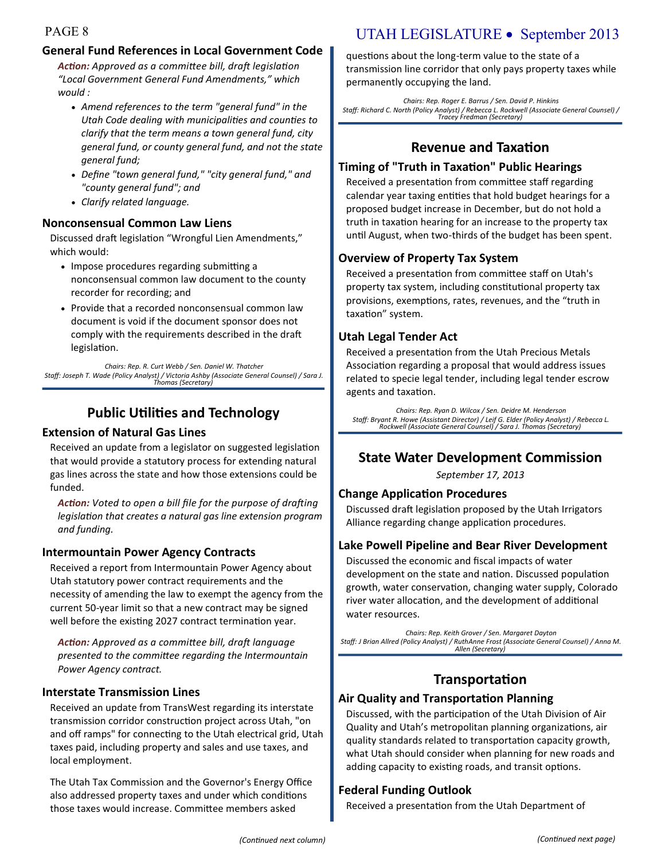#### **General Fund References in Local Government Code**

*Action: Approved as a committee bill, draft legislation "Local Government General Fund Amendments," which would :*

- *Amend references to the term "general fund" in the Utah Code dealing with municipalities and counties to clarify that the term means a town general fund, city general fund, or county general fund, and not the state general fund;*
- *Define "town general fund," "city general fund," and "county general fund"; and*
- *Clarify related language.*

#### **Nonconsensual Common Law Liens**

Discussed draft legislation "Wrongful Lien Amendments," which would:

- Impose procedures regarding submitting a nonconsensual common law document to the county recorder for recording; and
- Provide that a recorded nonconsensual common law document is void if the document sponsor does not comply with the requirements described in the draft legislation.

*Chairs: Rep. R. Curt Webb / Sen. Daniel W. Thatcher Staff: Joseph T. Wade (Policy Analyst) / Victoria Ashby (Associate General Counsel) / Sara J. Thomas (Secretary)*

## **Public Utilities and Technology**

#### **Extension of Natural Gas Lines**

Received an update from a legislator on suggested legislation that would provide a statutory process for extending natural gas lines across the state and how those extensions could be funded.

*Action: Voted to open a bill file for the purpose of drafting legislation that creates a natural gas line extension program and funding.* 

#### **Intermountain Power Agency Contracts**

Received a report from Intermountain Power Agency about Utah statutory power contract requirements and the necessity of amending the law to exempt the agency from the current 50-year limit so that a new contract may be signed well before the existing 2027 contract termination year.

*Action: Approved as a committee bill, draft language presented to the committee regarding the Intermountain Power Agency contract.* 

#### **Interstate Transmission Lines**

Received an update from TransWest regarding its interstate transmission corridor construction project across Utah, "on and off ramps" for connecting to the Utah electrical grid, Utah taxes paid, including property and sales and use taxes, and local employment.

The Utah Tax Commission and the Governor's Energy Office also addressed property taxes and under which conditions those taxes would increase. Committee members asked

## PAGE 8 UTAH LEGISLATURE • September 2013

questions about the long-term value to the state of a transmission line corridor that only pays property taxes while permanently occupying the land.

*Chairs: Rep. Roger E. Barrus / Sen. David P. Hinkins Staff: Richard C. North (Policy Analyst) / Rebecca L. Rockwell (Associate General Counsel) / Tracey Fredman (Secretary)*

## **Revenue and Taxation**

#### **Timing of "Truth in Taxation" Public Hearings**

Received a presentation from committee staff regarding calendar year taxing entities that hold budget hearings for a proposed budget increase in December, but do not hold a truth in taxation hearing for an increase to the property tax until August, when two-thirds of the budget has been spent.

#### **Overview of Property Tax System**

Received a presentation from committee staff on Utah's property tax system, including constitutional property tax provisions, exemptions, rates, revenues, and the "truth in taxation" system.

#### **Utah Legal Tender Act**

Received a presentation from the Utah Precious Metals Association regarding a proposal that would address issues related to specie legal tender, including legal tender escrow agents and taxation.

*Chairs: Rep. Ryan D. Wilcox / Sen. Deidre M. Henderson Staff: Bryant R. Howe (Assistant Director) / Leif G. Elder (Policy Analyst) / Rebecca L. Rockwell (Associate General Counsel) / Sara J. Thomas (Secretary)*

## **State Water Development Commission**

*September 17, 2013*

#### **Change Application Procedures**

Discussed draft legislation proposed by the Utah Irrigators Alliance regarding change application procedures.

#### **Lake Powell Pipeline and Bear River Development**

Discussed the economic and fiscal impacts of water development on the state and nation. Discussed population growth, water conservation, changing water supply, Colorado river water allocation, and the development of additional water resources.

*Chairs: Rep. Keith Grover / Sen. Margaret Dayton Staff: J Brian Allred (Policy Analyst) / RuthAnne Frost (Associate General Counsel) / Anna M. Allen (Secretary)*

## **Transportation**

#### **Air Quality and Transportation Planning**

Discussed, with the participation of the Utah Division of Air Quality and Utah's metropolitan planning organizations, air quality standards related to transportation capacity growth, what Utah should consider when planning for new roads and adding capacity to existing roads, and transit options.

#### **Federal Funding Outlook**

Received a presentation from the Utah Department of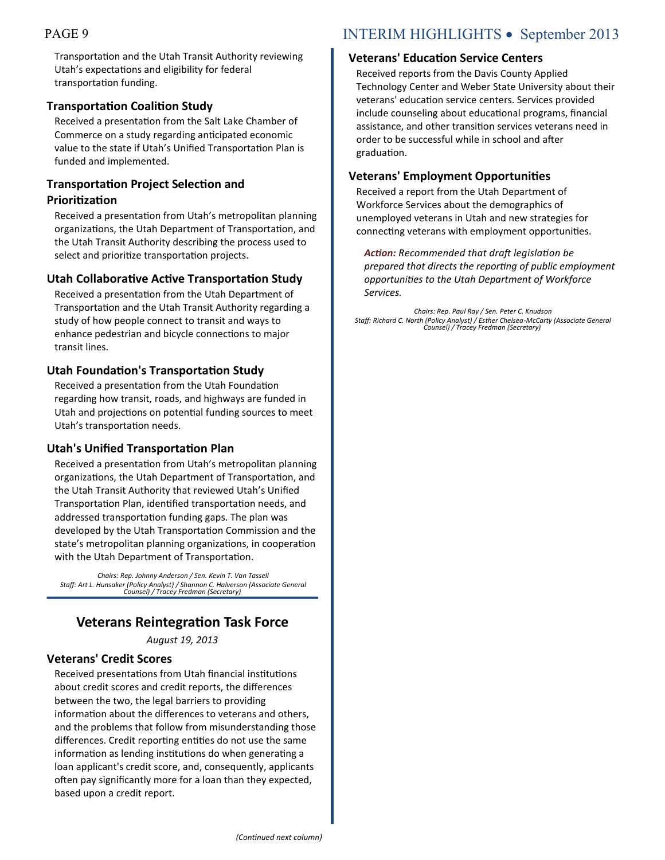Transportation and the Utah Transit Authority reviewing Utah's expectations and eligibility for federal transportation funding.

#### **Transportation Coalition Study**

Received a presentation from the Salt Lake Chamber of Commerce on a study regarding anticipated economic value to the state if Utah's Unified Transportation Plan is funded and implemented.

#### **Transportation Project Selection and Prioritization**

Received a presentation from Utah's metropolitan planning organizations, the Utah Department of Transportation, and the Utah Transit Authority describing the process used to select and prioritize transportation projects.

#### **Utah Collaborative Active Transportation Study**

Received a presentation from the Utah Department of Transportation and the Utah Transit Authority regarding a study of how people connect to transit and ways to enhance pedestrian and bicycle connections to major transit lines.

#### **Utah Foundation's Transportation Study**

Received a presentation from the Utah Foundation regarding how transit, roads, and highways are funded in Utah and projections on potential funding sources to meet Utah's transportation needs.

#### **Utah's Unified Transportation Plan**

Received a presentation from Utah's metropolitan planning organizations, the Utah Department of Transportation, and the Utah Transit Authority that reviewed Utah's Unified Transportation Plan, identified transportation needs, and addressed transportation funding gaps. The plan was developed by the Utah Transportation Commission and the state's metropolitan planning organizations, in cooperation with the Utah Department of Transportation.

*Chairs: Rep. Johnny Anderson / Sen. Kevin T. Van Tassell Staff: Art L. Hunsaker (Policy Analyst) / Shannon C. Halverson (Associate General Counsel) / Tracey Fredman (Secretary)*

## **Veterans Reintegration Task Force**

*August 19, 2013*

#### **Veterans' Credit Scores**

Received presentations from Utah financial institutions about credit scores and credit reports, the differences between the two, the legal barriers to providing information about the differences to veterans and others, and the problems that follow from misunderstanding those differences. Credit reporting entities do not use the same information as lending institutions do when generating a loan applicant's credit score, and, consequently, applicants often pay significantly more for a loan than they expected, based upon a credit report.

## PAGE 9 INTERIM HIGHLIGHTS • September 2013

#### **Veterans' Education Service Centers**

Received reports from the Davis County Applied Technology Center and Weber State University about their veterans' education service centers. Services provided include counseling about educational programs, financial assistance, and other transition services veterans need in order to be successful while in school and after graduation.

#### **Veterans' Employment Opportunities**

Received a report from the Utah Department of Workforce Services about the demographics of unemployed veterans in Utah and new strategies for connecting veterans with employment opportunities.

*Action: Recommended that draft legislation be prepared that directs the reporting of public employment opportunities to the Utah Department of Workforce Services.*

*Chairs: Rep. Paul Ray / Sen. Peter C. Knudson Staff: Richard C. North (Policy Analyst) / Esther Chelsea-McCarty (Associate General Counsel) / Tracey Fredman (Secretary)*